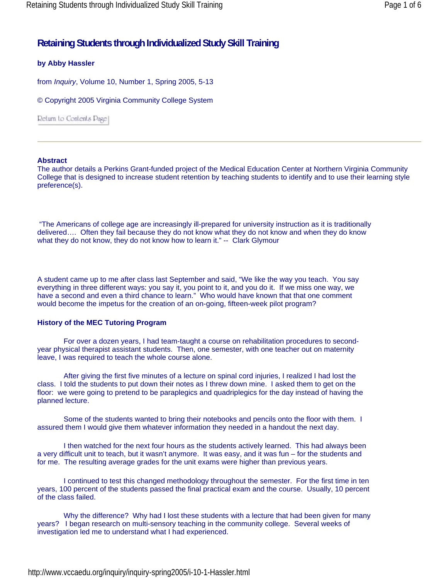# **Retaining Students through Individualized Study Skill Training**

### **by Abby Hassler**

from *Inquiry*, Volume 10, Number 1, Spring 2005, 5-13

© Copyright 2005 Virginia Community College System

Return to Contents Page

### **Abstract**

The author details a Perkins Grant-funded project of the Medical Education Center at Northern Virginia Community College that is designed to increase student retention by teaching students to identify and to use their learning style preference(s).

 "The Americans of college age are increasingly ill-prepared for university instruction as it is traditionally delivered…. Often they fail because they do not know what they do not know and when they do know what they do not know, they do not know how to learn it." -- Clark Glymour

A student came up to me after class last September and said, "We like the way you teach. You say everything in three different ways: you say it, you point to it, and you do it. If we miss one way, we have a second and even a third chance to learn." Who would have known that that one comment would become the impetus for the creation of an on-going, fifteen-week pilot program?

### **History of the MEC Tutoring Program**

For over a dozen years, I had team-taught a course on rehabilitation procedures to secondyear physical therapist assistant students. Then, one semester, with one teacher out on maternity leave, I was required to teach the whole course alone.

After giving the first five minutes of a lecture on spinal cord injuries, I realized I had lost the class. I told the students to put down their notes as I threw down mine. I asked them to get on the floor: we were going to pretend to be paraplegics and quadriplegics for the day instead of having the planned lecture.

Some of the students wanted to bring their notebooks and pencils onto the floor with them. I assured them I would give them whatever information they needed in a handout the next day.

I then watched for the next four hours as the students actively learned. This had always been a very difficult unit to teach, but it wasn't anymore. It was easy, and it was fun – for the students and for me. The resulting average grades for the unit exams were higher than previous years.

I continued to test this changed methodology throughout the semester. For the first time in ten years, 100 percent of the students passed the final practical exam and the course. Usually, 10 percent of the class failed.

Why the difference? Why had I lost these students with a lecture that had been given for many years? I began research on multi-sensory teaching in the community college. Several weeks of investigation led me to understand what I had experienced.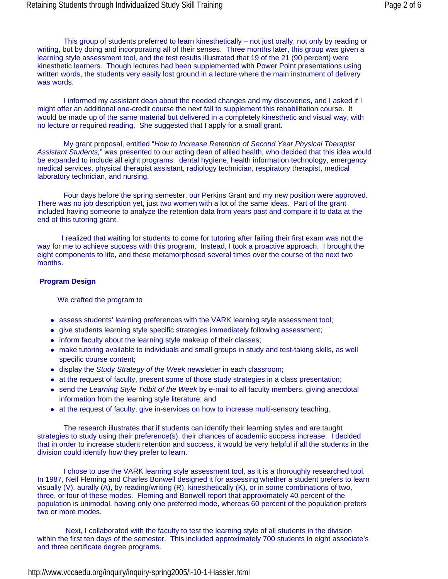This group of students preferred to learn kinesthetically – not just orally, not only by reading or writing, but by doing and incorporating all of their senses. Three months later, this group was given a learning style assessment tool, and the test results illustrated that 19 of the 21 (90 percent) were kinesthetic learners. Though lectures had been supplemented with Power Point presentations using written words, the students very easily lost ground in a lecture where the main instrument of delivery was words.

I informed my assistant dean about the needed changes and my discoveries, and I asked if I might offer an additional one-credit course the next fall to supplement this rehabilitation course. It would be made up of the same material but delivered in a completely kinesthetic and visual way, with no lecture or required reading. She suggested that I apply for a small grant.

My grant proposal, entitled "*How to Increase Retention of Second Year Physical Therapist Assistant Students,*" was presented to our acting dean of allied health, who decided that this idea would be expanded to include all eight programs: dental hygiene, health information technology, emergency medical services, physical therapist assistant, radiology technician, respiratory therapist, medical laboratory technician, and nursing.

Four days before the spring semester, our Perkins Grant and my new position were approved. There was no job description yet, just two women with a lot of the same ideas. Part of the grant included having someone to analyze the retention data from years past and compare it to data at the end of this tutoring grant.

 I realized that waiting for students to come for tutoring after failing their first exam was not the way for me to achieve success with this program. Instead, I took a proactive approach. I brought the eight components to life, and these metamorphosed several times over the course of the next two months.

#### **Program Design**

We crafted the program to

- assess students' learning preferences with the VARK learning style assessment tool;
- give students learning style specific strategies immediately following assessment;
- inform faculty about the learning style makeup of their classes;
- make tutoring available to individuals and small groups in study and test-taking skills, as well specific course content;
- display the *Study Strategy of the Week* newsletter in each classroom;
- at the request of faculty, present some of those study strategies in a class presentation;
- send the *Learning Style Tidbit of the Week* by e-mail to all faculty members, giving anecdotal information from the learning style literature; and
- at the request of faculty, give in-services on how to increase multi-sensory teaching.

The research illustrates that if students can identify their learning styles and are taught strategies to study using their preference(s), their chances of academic success increase. I decided that in order to increase student retention and success, it would be very helpful if all the students in the division could identify how they prefer to learn.

I chose to use the VARK learning style assessment tool, as it is a thoroughly researched tool. In 1987, Neil Fleming and Charles Bonwell designed it for assessing whether a student prefers to learn visually (V), aurally (A), by reading/writing (R), kinesthetically (K), or in some combinations of two, three, or four of these modes. Fleming and Bonwell report that approximately 40 percent of the population is unimodal, having only one preferred mode, whereas 60 percent of the population prefers two or more modes.

 Next, I collaborated with the faculty to test the learning style of all students in the division within the first ten days of the semester. This included approximately 700 students in eight associate's and three certificate degree programs.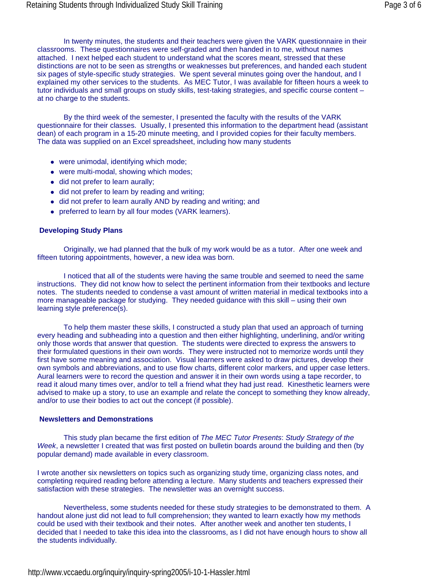In twenty minutes, the students and their teachers were given the VARK questionnaire in their classrooms. These questionnaires were self-graded and then handed in to me, without names attached. I next helped each student to understand what the scores meant, stressed that these distinctions are not to be seen as strengths or weaknesses but preferences, and handed each student six pages of style-specific study strategies. We spent several minutes going over the handout, and I explained my other services to the students. As MEC Tutor, I was available for fifteen hours a week to tutor individuals and small groups on study skills, test-taking strategies, and specific course content – at no charge to the students.

By the third week of the semester, I presented the faculty with the results of the VARK questionnaire for their classes. Usually, I presented this information to the department head (assistant dean) of each program in a 15-20 minute meeting, and I provided copies for their faculty members. The data was supplied on an Excel spreadsheet, including how many students

- were unimodal, identifying which mode;
- were multi-modal, showing which modes;
- did not prefer to learn aurally;
- did not prefer to learn by reading and writing;
- did not prefer to learn aurally AND by reading and writing; and
- preferred to learn by all four modes (VARK learners).

#### **Developing Study Plans**

Originally, we had planned that the bulk of my work would be as a tutor. After one week and fifteen tutoring appointments, however, a new idea was born.

I noticed that all of the students were having the same trouble and seemed to need the same instructions. They did not know how to select the pertinent information from their textbooks and lecture notes. The students needed to condense a vast amount of written material in medical textbooks into a more manageable package for studying. They needed guidance with this skill – using their own learning style preference(s).

To help them master these skills, I constructed a study plan that used an approach of turning every heading and subheading into a question and then either highlighting, underlining, and/or writing only those words that answer that question. The students were directed to express the answers to their formulated questions in their own words. They were instructed not to memorize words until they first have some meaning and association. Visual learners were asked to draw pictures, develop their own symbols and abbreviations, and to use flow charts, different color markers, and upper case letters. Aural learners were to record the question and answer it in their own words using a tape recorder, to read it aloud many times over, and/or to tell a friend what they had just read. Kinesthetic learners were advised to make up a story, to use an example and relate the concept to something they know already, and/or to use their bodies to act out the concept (if possible).

#### **Newsletters and Demonstrations**

This study plan became the first edition of *The MEC Tutor Presents*: *Study Strategy of the Week*, a newsletter I created that was first posted on bulletin boards around the building and then (by popular demand) made available in every classroom.

I wrote another six newsletters on topics such as organizing study time, organizing class notes, and completing required reading before attending a lecture. Many students and teachers expressed their satisfaction with these strategies. The newsletter was an overnight success.

Nevertheless, some students needed for these study strategies to be demonstrated to them. A handout alone just did not lead to full comprehension; they wanted to learn exactly how my methods could be used with their textbook and their notes. After another week and another ten students, I decided that I needed to take this idea into the classrooms, as I did not have enough hours to show all the students individually.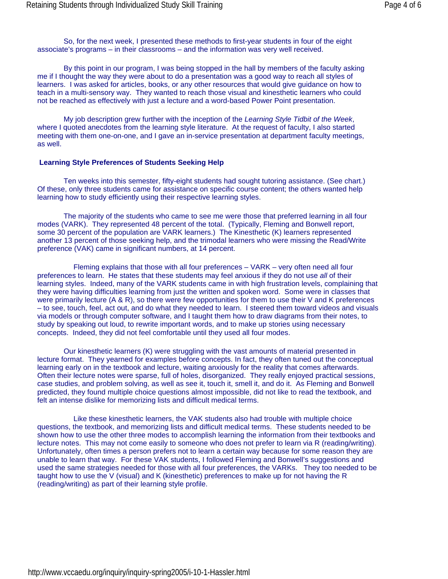So, for the next week, I presented these methods to first-year students in four of the eight associate's programs – in their classrooms – and the information was very well received.

By this point in our program, I was being stopped in the hall by members of the faculty asking me if I thought the way they were about to do a presentation was a good way to reach all styles of learners. I was asked for articles, books, or any other resources that would give guidance on how to teach in a multi-sensory way. They wanted to reach those visual and kinesthetic learners who could not be reached as effectively with just a lecture and a word-based Power Point presentation.

My job description grew further with the inception of the *Learning Style Tidbit of the Week*, where I quoted anecdotes from the learning style literature. At the request of faculty, I also started meeting with them one-on-one, and I gave an in-service presentation at department faculty meetings, as well.

#### **Learning Style Preferences of Students Seeking Help**

Ten weeks into this semester, fifty-eight students had sought tutoring assistance. (See chart.) Of these, only three students came for assistance on specific course content; the others wanted help learning how to study efficiently using their respective learning styles.

The majority of the students who came to see me were those that preferred learning in all four modes (VARK). They represented 48 percent of the total. (Typically, Fleming and Bonwell report, some 30 percent of the population are VARK learners.) The Kinesthetic (K) learners represented another 13 percent of those seeking help, and the trimodal learners who were missing the Read/Write preference (VAK) came in significant numbers, at 14 percent.

Fleming explains that those with all four preferences – VARK – very often need all four preferences to learn. He states that these students may feel anxious if they do not use *all* of their learning styles. Indeed, many of the VARK students came in with high frustration levels, complaining that they were having difficulties learning from just the written and spoken word. Some were in classes that were primarily lecture (A & R), so there were few opportunities for them to use their V and K preferences – to see, touch, feel, act out, and do what they needed to learn. I steered them toward videos and visuals via models or through computer software, and I taught them how to draw diagrams from their notes, to study by speaking out loud, to rewrite important words, and to make up stories using necessary concepts. Indeed, they did not feel comfortable until they used all four modes.

Our kinesthetic learners (K) were struggling with the vast amounts of material presented in lecture format. They yearned for examples before concepts. In fact, they often tuned out the conceptual learning early on in the textbook and lecture, waiting anxiously for the reality that comes afterwards. Often their lecture notes were sparse, full of holes, disorganized. They really enjoyed practical sessions, case studies, and problem solving, as well as see it, touch it, smell it, and do it. As Fleming and Bonwell predicted, they found multiple choice questions almost impossible, did not like to read the textbook, and felt an intense dislike for memorizing lists and difficult medical terms.

Like these kinesthetic learners, the VAK students also had trouble with multiple choice questions, the textbook, and memorizing lists and difficult medical terms. These students needed to be shown how to use the other three modes to accomplish learning the information from their textbooks and lecture notes. This may not come easily to someone who does not prefer to learn via R (reading/writing). Unfortunately, often times a person prefers not to learn a certain way because for some reason they are unable to learn that way. For these VAK students, I followed Fleming and Bonwell's suggestions and used the same strategies needed for those with all four preferences, the VARKs. They too needed to be taught how to use the V (visual) and K (kinesthetic) preferences to make up for not having the R (reading/writing) as part of their learning style profile.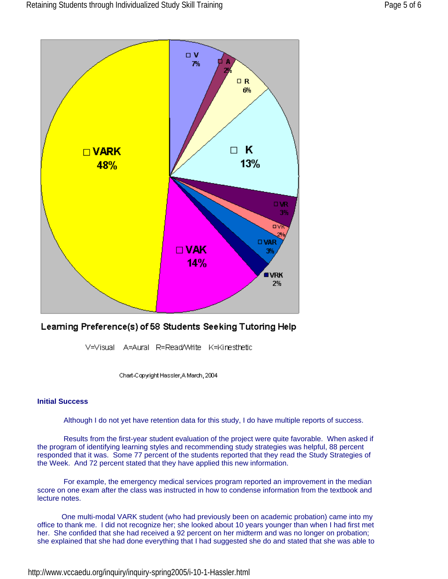

## Learning Preference(s) of 58 Students Seeking Tutoring Help

V=Visual A=Aural R=ReadWrite K=Kinesthetic

Chart-Copyright Hassler, A March, 2004

### **Initial Success**

Although I do not yet have retention data for this study, I do have multiple reports of success.

Results from the first-year student evaluation of the project were quite favorable. When asked if the program of identifying learning styles and recommending study strategies was helpful, 88 percent responded that it was. Some 77 percent of the students reported that they read the Study Strategies of the Week. And 72 percent stated that they have applied this new information.

For example, the emergency medical services program reported an improvement in the median score on one exam after the class was instructed in how to condense information from the textbook and lecture notes.

 One multi-modal VARK student (who had previously been on academic probation) came into my office to thank me. I did not recognize her; she looked about 10 years younger than when I had first met her. She confided that she had received a 92 percent on her midterm and was no longer on probation; she explained that she had done everything that I had suggested she do and stated that she was able to